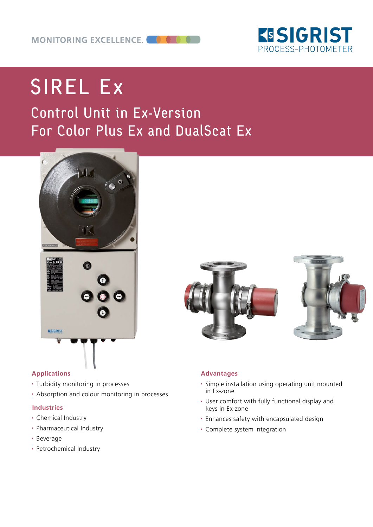

# SIREL Ex

## Control Unit in Ex-Version For Color Plus Ex and DualScat Ex





### **Applications**

- Turbidity monitoring in processes
- Absorption and colour monitoring in processes

### **Industries**

- Chemical Industry
- Pharmaceutical Industry
- Beverage
- Petrochemical Industry





### **Advantages**

- Simple installation using operating unit mounted in Ex-zone
- User comfort with fully functional display and keys in Ex-zone
- Enhances safety with encapsulated design
- Complete system integration